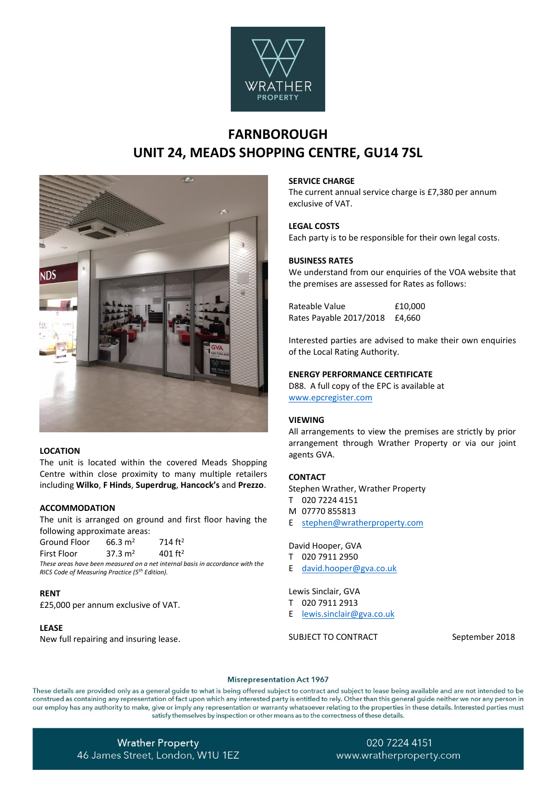

# **FARNBOROUGH UNIT 24, MEADS SHOPPING CENTRE, GU14 7SL**



# **LOCATION**

The unit is located within the covered Meads Shopping Centre within close proximity to many multiple retailers including **Wilko**, **F Hinds**, **Superdrug**, **Hancock's** and **Prezzo**.

#### **ACCOMMODATION**

The unit is arranged on ground and first floor having the following approximate areas:

| Ground Floor | $66.3 \text{ m}^2$ | 714 $ft2$  |
|--------------|--------------------|------------|
| First Floor  | $37.3 \text{ m}^2$ | 401 $ft^2$ |
|              |                    |            |

*These areas have been measured on a net internal basis in accordance with the RICS Code of Measuring Practice (5th Edition).*

#### **RENT**

£25,000 per annum exclusive of VAT.

#### **LEASE**

New full repairing and insuring lease.

#### **SERVICE CHARGE**

The current annual service charge is £7,380 per annum exclusive of VAT.

#### **LEGAL COSTS**

Each party is to be responsible for their own legal costs.

## **BUSINESS RATES**

We understand from our enquiries of the VOA website that the premises are assessed for Rates as follows:

Rateable Value **E10,000** Rates Payable 2017/2018 £4,660

Interested parties are advised to make their own enquiries of the Local Rating Authority.

#### **ENERGY PERFORMANCE CERTIFICATE**

D88. A full copy of the EPC is available at [www.epcregister.com](http://www.epcregister.com/)

#### **VIEWING**

All arrangements to view the premises are strictly by prior arrangement through Wrather Property or via our joint agents GVA.

# **CONTACT**

Stephen Wrather, Wrather Property

- T 020 7224 4151
- M 07770 855813
- E [stephen@wratherproperty.com](mailto:stephen@wratherproperty.com)

#### David Hooper, GVA

- T 020 7911 2950
- E david.hooper@gva.co.uk

#### Lewis Sinclair, GVA

- T 020 7911 2913
- E lewis.sinclair@gva.co.uk

SUBJECT TO CONTRACT September 2018

#### **Misrepresentation Act 1967**

These details are provided only as a general guide to what is being offered subject to contract and subject to lease being available and are not intended to be construed as containing any representation of fact upon which any interested party is entitled to rely. Other than this general guide neither we nor any person in our employ has any authority to make, give or imply any representation or warranty whatsoever relating to the properties in these details. Interested parties must satisfy themselves by inspection or other means as to the correctness of these details.

**Wrather Property** 46 James Street, London, W1U 1EZ

# 020 7224 4151 www.wratherproperty.com